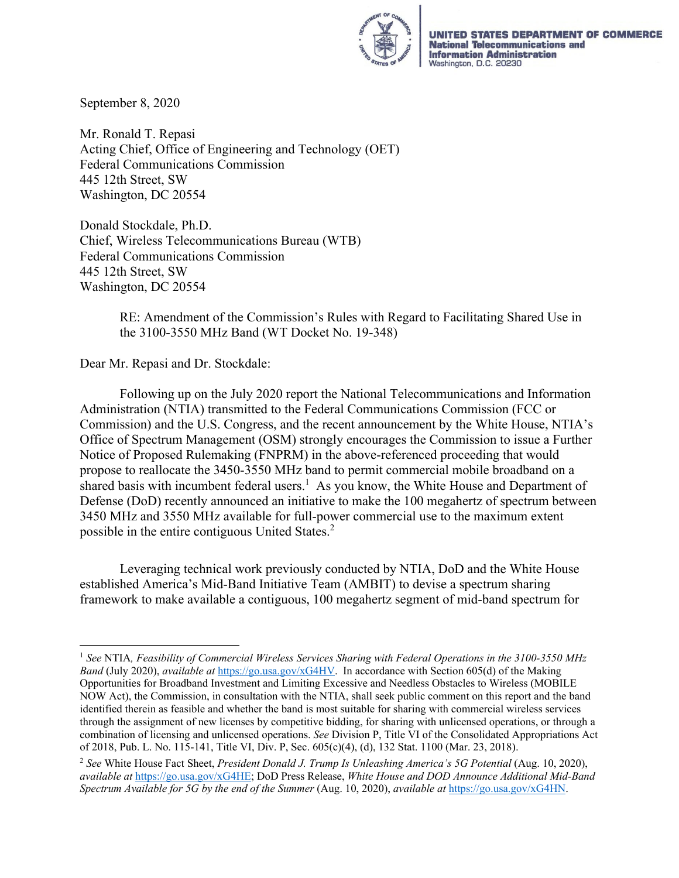

UNITED STATES DEPARTMENT OF COMMERCE **National Telecommunications and Information Administration**<br>Washington, D.C. 20230

September 8, 2020

Mr. Ronald T. Repasi Acting Chief, Office of Engineering and Technology (OET) Federal Communications Commission 445 12th Street, SW Washington, DC 20554

Donald Stockdale, Ph.D. Chief, Wireless Telecommunications Bureau (WTB) Federal Communications Commission 445 12th Street, SW Washington, DC 20554

> RE: Amendment of the Commission's Rules with Regard to Facilitating Shared Use in the 3100-3550 MHz Band (WT Docket No. 19-348)

Dear Mr. Repasi and Dr. Stockdale:

Following up on the July 2020 report the National Telecommunications and Information Administration (NTIA) transmitted to the Federal Communications Commission (FCC or Commission) and the U.S. Congress, and the recent announcement by the White House, NTIA's Office of Spectrum Management (OSM) strongly encourages the Commission to issue a Further Notice of Proposed Rulemaking (FNPRM) in the above-referenced proceeding that would propose to reallocate the 3450-3550 MHz band to permit commercial mobile broadband on a shared basis with incumbent federal users.<sup>1</sup> As you know, the White House and Department of Defense (DoD) recently announced an initiative to make the 100 megahertz of spectrum between 3450 MHz and 3550 MHz available for full-power commercial use to the maximum extent possible in the entire contiguous United States.2

Leveraging technical work previously conducted by NTIA, DoD and the White House established America's Mid-Band Initiative Team (AMBIT) to devise a spectrum sharing framework to make available a contiguous, 100 megahertz segment of mid-band spectrum for

<sup>1</sup> *See* NTIA*, Feasibility of Commercial Wireless Services Sharing with Federal Operations in the 3100-3550 MHz Band* (July 2020), *available at* https://go.usa.gov/xG4HV. In accordance with Section 605(d) of the Making Opportunities for Broadband Investment and Limiting Excessive and Needless Obstacles to Wireless (MOBILE NOW Act), the Commission, in consultation with the NTIA, shall seek public comment on this report and the band identified therein as feasible and whether the band is most suitable for sharing with commercial wireless services through the assignment of new licenses by competitive bidding, for sharing with unlicensed operations, or through a combination of licensing and unlicensed operations. *See* Division P, Title VI of the Consolidated Appropriations Act of 2018, Pub. L. No. 115-141, Title VI, Div. P, Sec. 605(c)(4), (d), 132 Stat. 1100 (Mar. 23, 2018).

<sup>2</sup> *See* White House Fact Sheet, *President Donald J. Trump Is Unleashing America's 5G Potential* (Aug. 10, 2020), *available at* https://go.usa.gov/xG4HE; DoD Press Release, *White House and DOD Announce Additional Mid-Band Spectrum Available for 5G by the end of the Summer* (Aug. 10, 2020), *available at* https://go.usa.gov/xG4HN.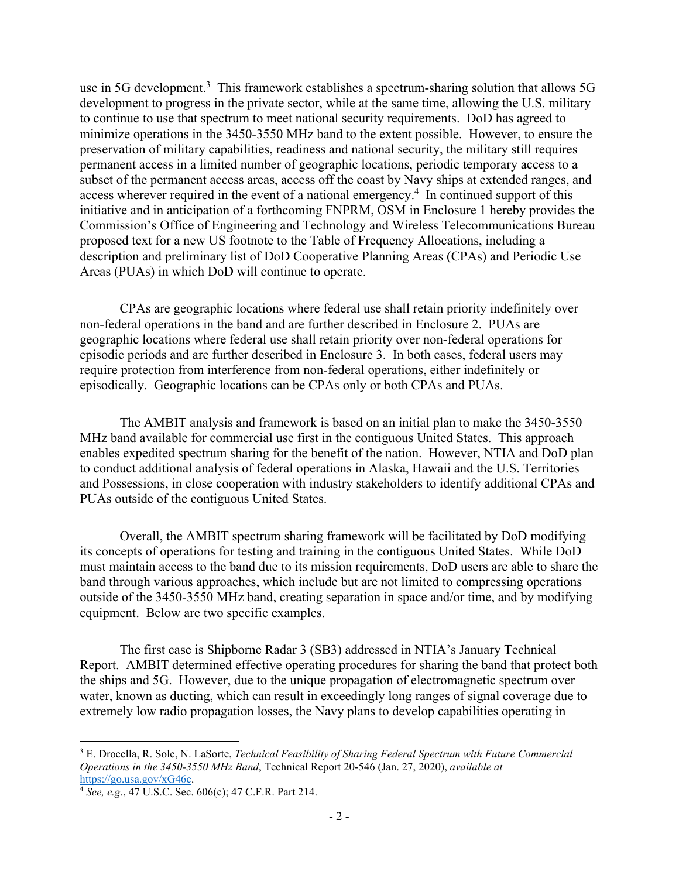use in 5G development.<sup>3</sup> This framework establishes a spectrum-sharing solution that allows 5G development to progress in the private sector, while at the same time, allowing the U.S. military to continue to use that spectrum to meet national security requirements. DoD has agreed to minimize operations in the 3450-3550 MHz band to the extent possible. However, to ensure the preservation of military capabilities, readiness and national security, the military still requires permanent access in a limited number of geographic locations, periodic temporary access to a subset of the permanent access areas, access off the coast by Navy ships at extended ranges, and access wherever required in the event of a national emergency.<sup>4</sup> In continued support of this initiative and in anticipation of a forthcoming FNPRM, OSM in Enclosure 1 hereby provides the Commission's Office of Engineering and Technology and Wireless Telecommunications Bureau proposed text for a new US footnote to the Table of Frequency Allocations, including a description and preliminary list of DoD Cooperative Planning Areas (CPAs) and Periodic Use Areas (PUAs) in which DoD will continue to operate.

CPAs are geographic locations where federal use shall retain priority indefinitely over non-federal operations in the band and are further described in Enclosure 2. PUAs are geographic locations where federal use shall retain priority over non-federal operations for episodic periods and are further described in Enclosure 3. In both cases, federal users may require protection from interference from non-federal operations, either indefinitely or episodically. Geographic locations can be CPAs only or both CPAs and PUAs.

The AMBIT analysis and framework is based on an initial plan to make the 3450-3550 MHz band available for commercial use first in the contiguous United States. This approach enables expedited spectrum sharing for the benefit of the nation. However, NTIA and DoD plan to conduct additional analysis of federal operations in Alaska, Hawaii and the U.S. Territories and Possessions, in close cooperation with industry stakeholders to identify additional CPAs and PUAs outside of the contiguous United States.

Overall, the AMBIT spectrum sharing framework will be facilitated by DoD modifying its concepts of operations for testing and training in the contiguous United States. While DoD must maintain access to the band due to its mission requirements, DoD users are able to share the band through various approaches, which include but are not limited to compressing operations outside of the 3450-3550 MHz band, creating separation in space and/or time, and by modifying equipment. Below are two specific examples.

The first case is Shipborne Radar 3 (SB3) addressed in NTIA's January Technical Report. AMBIT determined effective operating procedures for sharing the band that protect both the ships and 5G. However, due to the unique propagation of electromagnetic spectrum over water, known as ducting, which can result in exceedingly long ranges of signal coverage due to extremely low radio propagation losses, the Navy plans to develop capabilities operating in

<sup>3</sup> E. Drocella, R. Sole, N. LaSorte, *Technical Feasibility of Sharing Federal Spectrum with Future Commercial Operations in the 3450-3550 MHz Band*, Technical Report 20-546 (Jan. 27, 2020), *available at* https://go.usa.gov/xG46c. 4 *See, e.g*., 47 U.S.C. Sec. 606(c); 47 C.F.R. Part 214.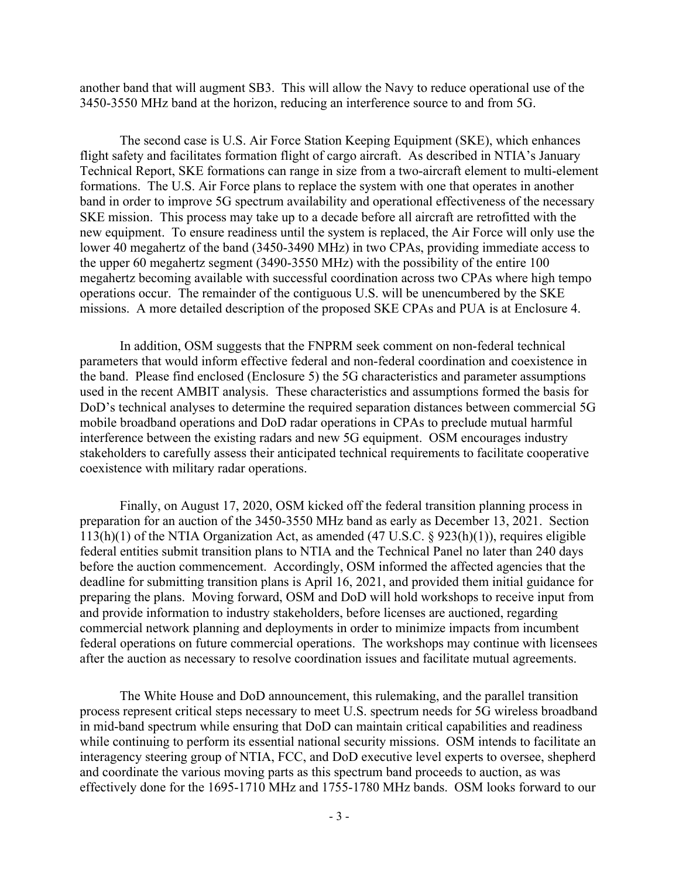another band that will augment SB3. This will allow the Navy to reduce operational use of the 3450-3550 MHz band at the horizon, reducing an interference source to and from 5G.

The second case is U.S. Air Force Station Keeping Equipment (SKE), which enhances flight safety and facilitates formation flight of cargo aircraft. As described in NTIA's January Technical Report, SKE formations can range in size from a two-aircraft element to multi-element formations. The U.S. Air Force plans to replace the system with one that operates in another band in order to improve 5G spectrum availability and operational effectiveness of the necessary SKE mission. This process may take up to a decade before all aircraft are retrofitted with the new equipment. To ensure readiness until the system is replaced, the Air Force will only use the lower 40 megahertz of the band (3450-3490 MHz) in two CPAs, providing immediate access to the upper 60 megahertz segment (3490-3550 MHz) with the possibility of the entire 100 megahertz becoming available with successful coordination across two CPAs where high tempo operations occur. The remainder of the contiguous U.S. will be unencumbered by the SKE missions. A more detailed description of the proposed SKE CPAs and PUA is at Enclosure 4.

In addition, OSM suggests that the FNPRM seek comment on non-federal technical parameters that would inform effective federal and non-federal coordination and coexistence in the band. Please find enclosed (Enclosure 5) the 5G characteristics and parameter assumptions used in the recent AMBIT analysis. These characteristics and assumptions formed the basis for DoD's technical analyses to determine the required separation distances between commercial 5G mobile broadband operations and DoD radar operations in CPAs to preclude mutual harmful interference between the existing radars and new 5G equipment. OSM encourages industry stakeholders to carefully assess their anticipated technical requirements to facilitate cooperative coexistence with military radar operations.

Finally, on August 17, 2020, OSM kicked off the federal transition planning process in preparation for an auction of the 3450-3550 MHz band as early as December 13, 2021. Section 113(h)(1) of the NTIA Organization Act, as amended (47 U.S.C. § 923(h)(1)), requires eligible federal entities submit transition plans to NTIA and the Technical Panel no later than 240 days before the auction commencement. Accordingly, OSM informed the affected agencies that the deadline for submitting transition plans is April 16, 2021, and provided them initial guidance for preparing the plans. Moving forward, OSM and DoD will hold workshops to receive input from and provide information to industry stakeholders, before licenses are auctioned, regarding commercial network planning and deployments in order to minimize impacts from incumbent federal operations on future commercial operations. The workshops may continue with licensees after the auction as necessary to resolve coordination issues and facilitate mutual agreements.

The White House and DoD announcement, this rulemaking, and the parallel transition process represent critical steps necessary to meet U.S. spectrum needs for 5G wireless broadband in mid-band spectrum while ensuring that DoD can maintain critical capabilities and readiness while continuing to perform its essential national security missions. OSM intends to facilitate an interagency steering group of NTIA, FCC, and DoD executive level experts to oversee, shepherd and coordinate the various moving parts as this spectrum band proceeds to auction, as was effectively done for the 1695-1710 MHz and 1755-1780 MHz bands. OSM looks forward to our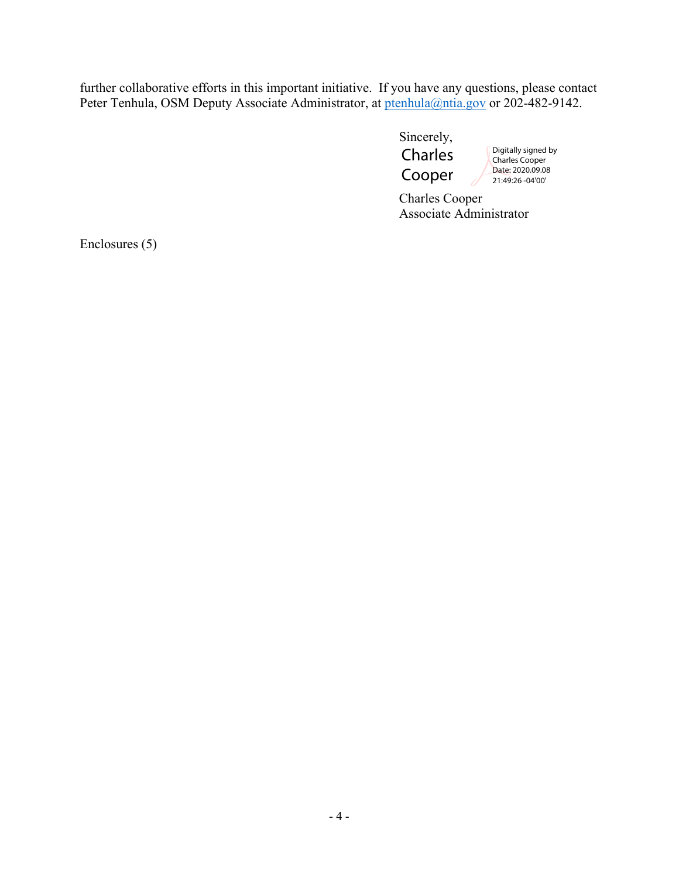further collaborative efforts in this important initiative. If you have any questions, please contact Peter Tenhula, OSM Deputy Associate Administrator, at ptenhula@ntia.gov or 202-482-9142.

> Sincerely, Charles Cooper

Digitally signed by Charles Cooper Date: 2020.09.08 21:49:26 -04'00'

 Charles Cooper Associate Administrator

Enclosures (5)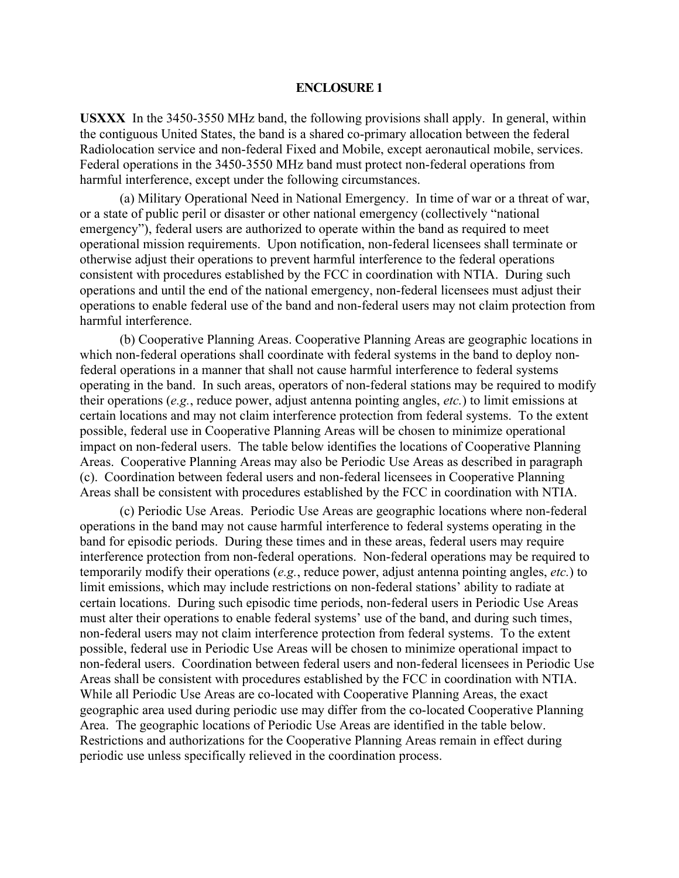**USXXX** In the 3450-3550 MHz band, the following provisions shall apply. In general, within the contiguous United States, the band is a shared co-primary allocation between the federal Radiolocation service and non-federal Fixed and Mobile, except aeronautical mobile, services. Federal operations in the 3450-3550 MHz band must protect non-federal operations from harmful interference, except under the following circumstances.

(a) Military Operational Need in National Emergency. In time of war or a threat of war, or a state of public peril or disaster or other national emergency (collectively "national emergency"), federal users are authorized to operate within the band as required to meet operational mission requirements. Upon notification, non-federal licensees shall terminate or otherwise adjust their operations to prevent harmful interference to the federal operations consistent with procedures established by the FCC in coordination with NTIA. During such operations and until the end of the national emergency, non-federal licensees must adjust their operations to enable federal use of the band and non-federal users may not claim protection from harmful interference.

(b) Cooperative Planning Areas. Cooperative Planning Areas are geographic locations in which non-federal operations shall coordinate with federal systems in the band to deploy nonfederal operations in a manner that shall not cause harmful interference to federal systems operating in the band. In such areas, operators of non-federal stations may be required to modify their operations (*e.g.*, reduce power, adjust antenna pointing angles, *etc.*) to limit emissions at certain locations and may not claim interference protection from federal systems. To the extent possible, federal use in Cooperative Planning Areas will be chosen to minimize operational impact on non-federal users. The table below identifies the locations of Cooperative Planning Areas. Cooperative Planning Areas may also be Periodic Use Areas as described in paragraph (c). Coordination between federal users and non-federal licensees in Cooperative Planning Areas shall be consistent with procedures established by the FCC in coordination with NTIA.

(c) Periodic Use Areas. Periodic Use Areas are geographic locations where non-federal operations in the band may not cause harmful interference to federal systems operating in the band for episodic periods. During these times and in these areas, federal users may require interference protection from non-federal operations. Non-federal operations may be required to temporarily modify their operations (*e.g.*, reduce power, adjust antenna pointing angles, *etc.*) to limit emissions, which may include restrictions on non-federal stations' ability to radiate at certain locations. During such episodic time periods, non-federal users in Periodic Use Areas must alter their operations to enable federal systems' use of the band, and during such times, non-federal users may not claim interference protection from federal systems. To the extent possible, federal use in Periodic Use Areas will be chosen to minimize operational impact to non-federal users. Coordination between federal users and non-federal licensees in Periodic Use Areas shall be consistent with procedures established by the FCC in coordination with NTIA. While all Periodic Use Areas are co-located with Cooperative Planning Areas, the exact geographic area used during periodic use may differ from the co-located Cooperative Planning Area. The geographic locations of Periodic Use Areas are identified in the table below. Restrictions and authorizations for the Cooperative Planning Areas remain in effect during periodic use unless specifically relieved in the coordination process.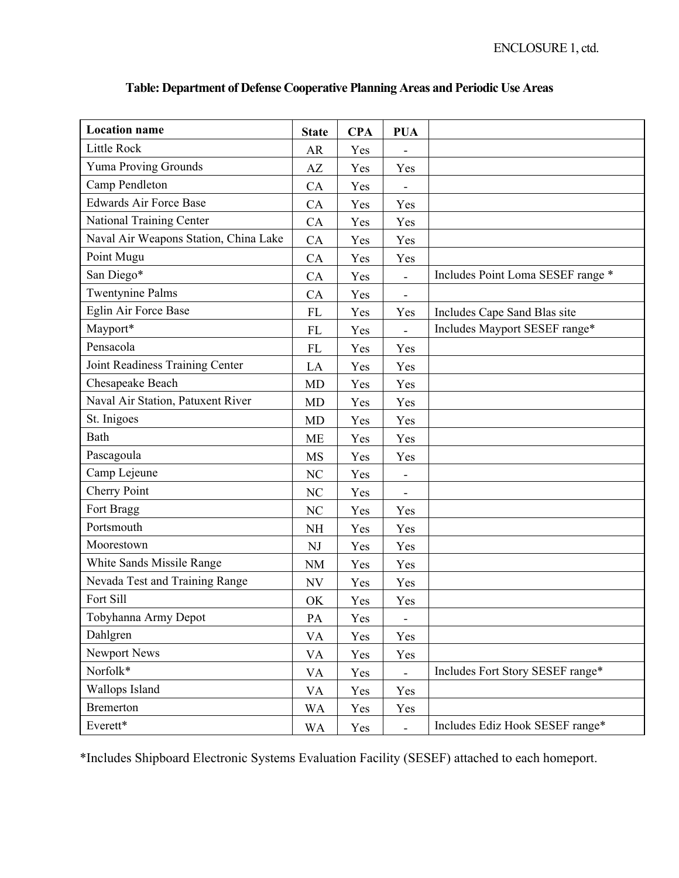| <b>Location</b> name                  | <b>State</b> | <b>CPA</b> | <b>PUA</b>                   |                                   |
|---------------------------------------|--------------|------------|------------------------------|-----------------------------------|
| Little Rock                           | <b>AR</b>    | Yes        |                              |                                   |
| Yuma Proving Grounds                  | AZ           | Yes        | Yes                          |                                   |
| Camp Pendleton                        | CA           | Yes        | $\overline{\phantom{a}}$     |                                   |
| <b>Edwards Air Force Base</b>         | CA           | Yes        | Yes                          |                                   |
| National Training Center              | CA           | Yes        | Yes                          |                                   |
| Naval Air Weapons Station, China Lake | CA           | Yes        | Yes                          |                                   |
| Point Mugu                            | CA           | Yes        | Yes                          |                                   |
| San Diego*                            | CA           | Yes        | $\overline{\phantom{a}}$     | Includes Point Loma SESEF range * |
| <b>Twentynine Palms</b>               | CA           | Yes        | $\overline{a}$               |                                   |
| Eglin Air Force Base                  | FL           | Yes        | Yes                          | Includes Cape Sand Blas site      |
| Mayport*                              | FL           | Yes        |                              | Includes Mayport SESEF range*     |
| Pensacola                             | ${\rm FL}$   | Yes        | Yes                          |                                   |
| Joint Readiness Training Center       | LA           | Yes        | Yes                          |                                   |
| Chesapeake Beach                      | <b>MD</b>    | Yes        | Yes                          |                                   |
| Naval Air Station, Patuxent River     | <b>MD</b>    | Yes        | Yes                          |                                   |
| St. Inigoes                           | <b>MD</b>    | Yes        | Yes                          |                                   |
| Bath                                  | ME           | Yes        | Yes                          |                                   |
| Pascagoula                            | MS           | Yes        | Yes                          |                                   |
| Camp Lejeune                          | NC           | Yes        | $\qquad \qquad \blacksquare$ |                                   |
| Cherry Point                          | NC           | Yes        | $\blacksquare$               |                                   |
| Fort Bragg                            | NC           | Yes        | Yes                          |                                   |
| Portsmouth                            | <b>NH</b>    | Yes        | Yes                          |                                   |
| Moorestown                            | NJ           | Yes        | Yes                          |                                   |
| White Sands Missile Range             | <b>NM</b>    | Yes        | Yes                          |                                   |
| Nevada Test and Training Range        | <b>NV</b>    | Yes        | Yes                          |                                   |
| Fort Sill                             | OK           | Yes        | Yes                          |                                   |
| Tobyhanna Army Depot                  | PA           | Yes        | $\qquad \qquad \blacksquare$ |                                   |
| Dahlgren                              | VA           | Yes        | Yes                          |                                   |
| <b>Newport News</b>                   | VA           | Yes        | Yes                          |                                   |
| Norfolk*                              | VA           | Yes        | $\blacksquare$               | Includes Fort Story SESEF range*  |
| Wallops Island                        | VA           | Yes        | Yes                          |                                   |
| <b>Bremerton</b>                      | <b>WA</b>    | Yes        | Yes                          |                                   |
| Everett*                              | <b>WA</b>    | Yes        |                              | Includes Ediz Hook SESEF range*   |

# **Table: Department of Defense Cooperative Planning Areas and Periodic Use Areas**

\*Includes Shipboard Electronic Systems Evaluation Facility (SESEF) attached to each homeport.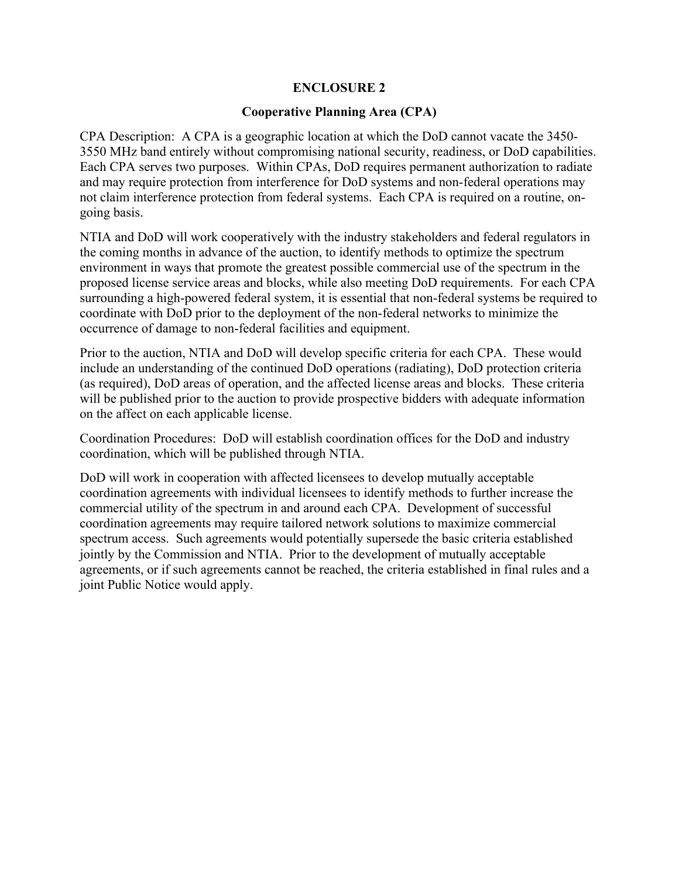# **Cooperative Planning Area (CPA)**

CPA Description: A CPA is a geographic location at which the DoD cannot vacate the 3450- 3550 MHz band entirely without compromising national security, readiness, or DoD capabilities. Each CPA serves two purposes. Within CPAs, DoD requires permanent authorization to radiate and may require protection from interference for DoD systems and non-federal operations may not claim interference protection from federal systems. Each CPA is required on a routine, ongoing basis.

NTIA and DoD will work cooperatively with the industry stakeholders and federal regulators in the coming months in advance of the auction, to identify methods to optimize the spectrum environment in ways that promote the greatest possible commercial use of the spectrum in the proposed license service areas and blocks, while also meeting DoD requirements. For each CPA surrounding a high-powered federal system, it is essential that non-federal systems be required to coordinate with DoD prior to the deployment of the non-federal networks to minimize the occurrence of damage to non-federal facilities and equipment.

Prior to the auction, NTIA and DoD will develop specific criteria for each CPA. These would include an understanding of the continued DoD operations (radiating), DoD protection criteria (as required), DoD areas of operation, and the affected license areas and blocks. These criteria will be published prior to the auction to provide prospective bidders with adequate information on the affect on each applicable license.

Coordination Procedures: DoD will establish coordination offices for the DoD and industry coordination, which will be published through NTIA.

DoD will work in cooperation with affected licensees to develop mutually acceptable coordination agreements with individual licensees to identify methods to further increase the commercial utility of the spectrum in and around each CPA. Development of successful coordination agreements may require tailored network solutions to maximize commercial spectrum access. Such agreements would potentially supersede the basic criteria established jointly by the Commission and NTIA. Prior to the development of mutually acceptable agreements, or if such agreements cannot be reached, the criteria established in final rules and a joint Public Notice would apply.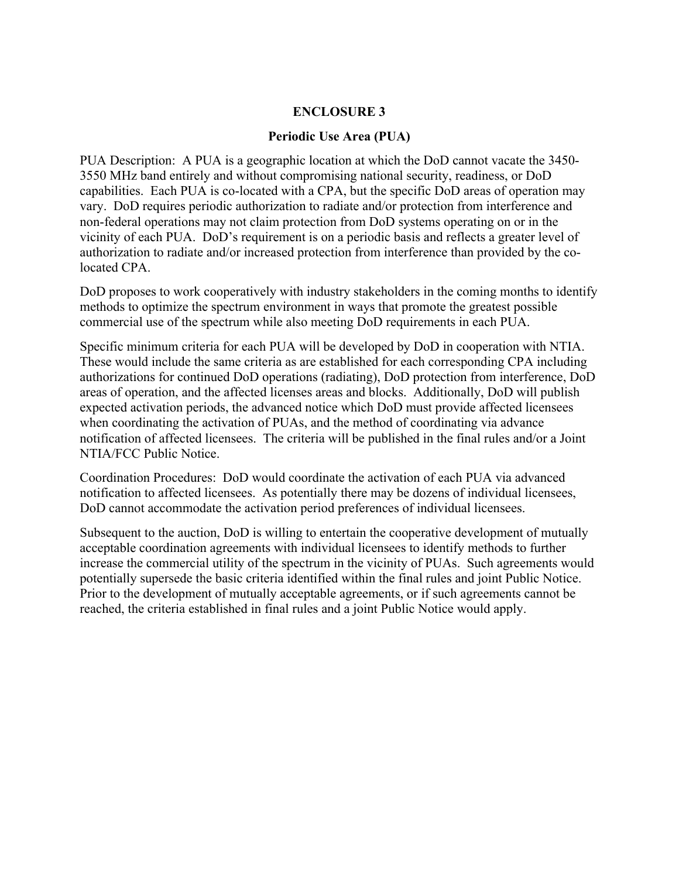# **Periodic Use Area (PUA)**

PUA Description: A PUA is a geographic location at which the DoD cannot vacate the 3450- 3550 MHz band entirely and without compromising national security, readiness, or DoD capabilities. Each PUA is co-located with a CPA, but the specific DoD areas of operation may vary. DoD requires periodic authorization to radiate and/or protection from interference and non-federal operations may not claim protection from DoD systems operating on or in the vicinity of each PUA. DoD's requirement is on a periodic basis and reflects a greater level of authorization to radiate and/or increased protection from interference than provided by the colocated CPA.

DoD proposes to work cooperatively with industry stakeholders in the coming months to identify methods to optimize the spectrum environment in ways that promote the greatest possible commercial use of the spectrum while also meeting DoD requirements in each PUA.

Specific minimum criteria for each PUA will be developed by DoD in cooperation with NTIA. These would include the same criteria as are established for each corresponding CPA including authorizations for continued DoD operations (radiating), DoD protection from interference, DoD areas of operation, and the affected licenses areas and blocks. Additionally, DoD will publish expected activation periods, the advanced notice which DoD must provide affected licensees when coordinating the activation of PUAs, and the method of coordinating via advance notification of affected licensees. The criteria will be published in the final rules and/or a Joint NTIA/FCC Public Notice.

Coordination Procedures: DoD would coordinate the activation of each PUA via advanced notification to affected licensees. As potentially there may be dozens of individual licensees, DoD cannot accommodate the activation period preferences of individual licensees.

Subsequent to the auction, DoD is willing to entertain the cooperative development of mutually acceptable coordination agreements with individual licensees to identify methods to further increase the commercial utility of the spectrum in the vicinity of PUAs. Such agreements would potentially supersede the basic criteria identified within the final rules and joint Public Notice. Prior to the development of mutually acceptable agreements, or if such agreements cannot be reached, the criteria established in final rules and a joint Public Notice would apply.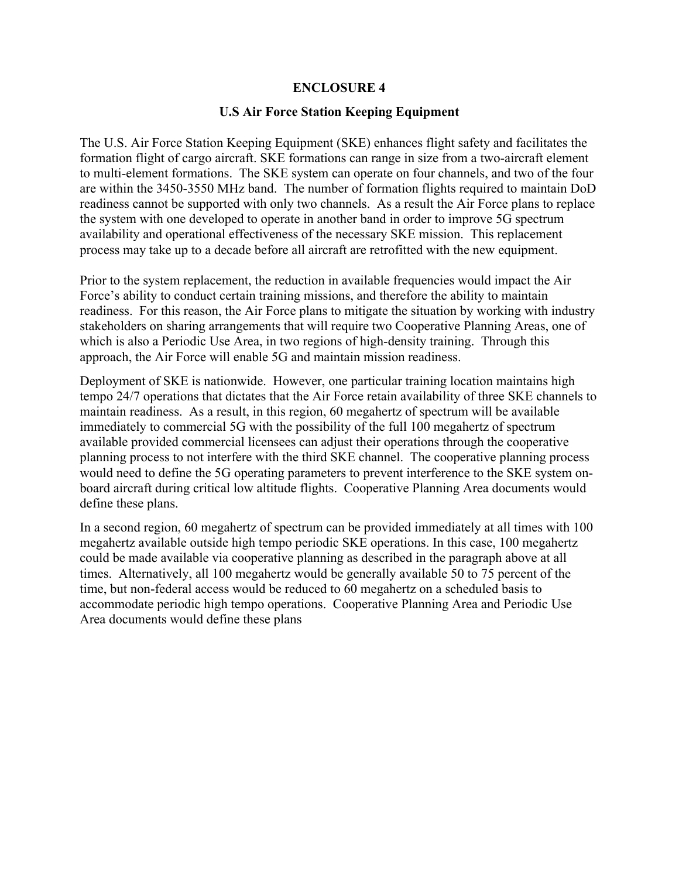#### **U.S Air Force Station Keeping Equipment**

The U.S. Air Force Station Keeping Equipment (SKE) enhances flight safety and facilitates the formation flight of cargo aircraft. SKE formations can range in size from a two-aircraft element to multi-element formations. The SKE system can operate on four channels, and two of the four are within the 3450-3550 MHz band. The number of formation flights required to maintain DoD readiness cannot be supported with only two channels. As a result the Air Force plans to replace the system with one developed to operate in another band in order to improve 5G spectrum availability and operational effectiveness of the necessary SKE mission. This replacement process may take up to a decade before all aircraft are retrofitted with the new equipment.

Prior to the system replacement, the reduction in available frequencies would impact the Air Force's ability to conduct certain training missions, and therefore the ability to maintain readiness. For this reason, the Air Force plans to mitigate the situation by working with industry stakeholders on sharing arrangements that will require two Cooperative Planning Areas, one of which is also a Periodic Use Area, in two regions of high-density training. Through this approach, the Air Force will enable 5G and maintain mission readiness.

Deployment of SKE is nationwide. However, one particular training location maintains high tempo 24/7 operations that dictates that the Air Force retain availability of three SKE channels to maintain readiness. As a result, in this region, 60 megahertz of spectrum will be available immediately to commercial 5G with the possibility of the full 100 megahertz of spectrum available provided commercial licensees can adjust their operations through the cooperative planning process to not interfere with the third SKE channel. The cooperative planning process would need to define the 5G operating parameters to prevent interference to the SKE system onboard aircraft during critical low altitude flights. Cooperative Planning Area documents would define these plans.

In a second region, 60 megahertz of spectrum can be provided immediately at all times with 100 megahertz available outside high tempo periodic SKE operations. In this case, 100 megahertz could be made available via cooperative planning as described in the paragraph above at all times. Alternatively, all 100 megahertz would be generally available 50 to 75 percent of the time, but non-federal access would be reduced to 60 megahertz on a scheduled basis to accommodate periodic high tempo operations. Cooperative Planning Area and Periodic Use Area documents would define these plans